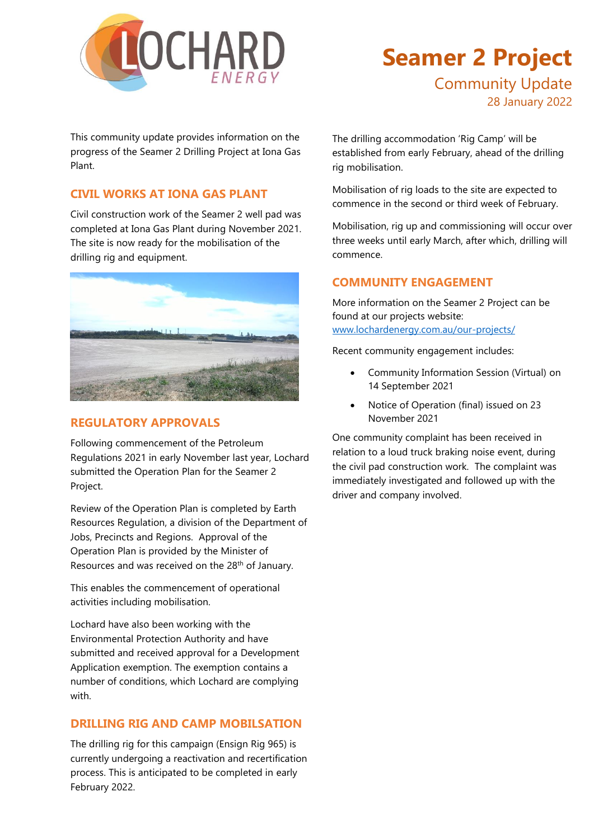

## **Seamer 2 Project**  Community Update 28 January 2022

This community update provides information on the progress of the Seamer 2 Drilling Project at Iona Gas Plant.

#### **CIVIL WORKS AT IONA GAS PLANT**

Civil construction work of the Seamer 2 well pad was completed at Iona Gas Plant during November 2021. The site is now ready for the mobilisation of the drilling rig and equipment.



### **REGULATORY APPROVALS**

Following commencement of the Petroleum Regulations 2021 in early November last year, Lochard submitted the Operation Plan for the Seamer 2 Project.

Review of the Operation Plan is completed by Earth Resources Regulation, a division of the Department of Jobs, Precincts and Regions. Approval of the Operation Plan is provided by the Minister of Resources and was received on the 28<sup>th</sup> of January.

This enables the commencement of operational activities including mobilisation.

Lochard have also been working with the Environmental Protection Authority and have submitted and received approval for a Development Application exemption. The exemption contains a number of conditions, which Lochard are complying with.

#### **DRILLING RIG AND CAMP MOBILSATION**

The drilling rig for this campaign (Ensign Rig 965) is currently undergoing a reactivation and recertification process. This is anticipated to be completed in early February 2022.

The drilling accommodation 'Rig Camp' will be established from early February, ahead of the drilling rig mobilisation.

Mobilisation of rig loads to the site are expected to commence in the second or third week of February.

Mobilisation, rig up and commissioning will occur over three weeks until early March, after which, drilling will commence.

#### **COMMUNITY ENGAGEMENT**

More information on the Seamer 2 Project can be found at our projects website: [www.lochardenergy.com.au/our-projects/](http://www.lochardenergy.com.au/our-projects/)

Recent community engagement includes:

- Community Information Session (Virtual) on 14 September 2021
- Notice of Operation (final) issued on 23 November 2021

One community complaint has been received in relation to a loud truck braking noise event, during the civil pad construction work. The complaint was immediately investigated and followed up with the driver and company involved.